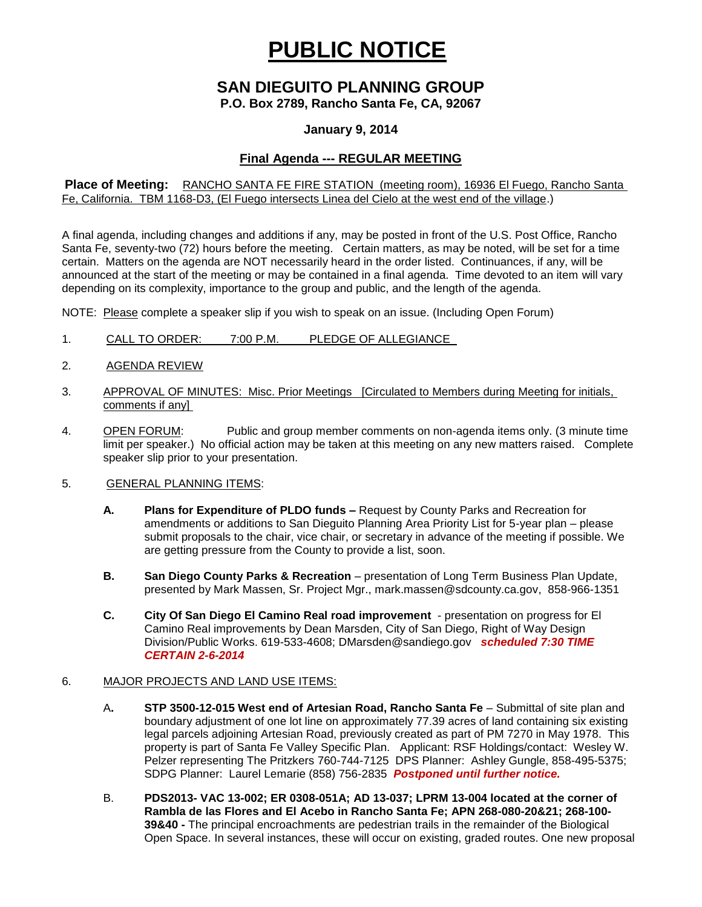# **PUBLIC NOTICE**

# **SAN DIEGUITO PLANNING GROUP**

**P.O. Box 2789, Rancho Santa Fe, CA, 92067**

### **January 9, 2014**

## **Final Agenda --- REGULAR MEETING**

**Place of Meeting:** RANCHO SANTA FE FIRE STATION (meeting room), 16936 El Fuego, Rancho Santa Fe, California. TBM 1168-D3, (El Fuego intersects Linea del Cielo at the west end of the village.)

A final agenda, including changes and additions if any, may be posted in front of the U.S. Post Office, Rancho Santa Fe, seventy-two (72) hours before the meeting. Certain matters, as may be noted, will be set for a time certain. Matters on the agenda are NOT necessarily heard in the order listed. Continuances, if any, will be announced at the start of the meeting or may be contained in a final agenda. Time devoted to an item will vary depending on its complexity, importance to the group and public, and the length of the agenda.

NOTE: Please complete a speaker slip if you wish to speak on an issue. (Including Open Forum)

- 1. CALL TO ORDER: 7:00 P.M. PLEDGE OF ALLEGIANCE
- 2. AGENDA REVIEW
- 3. APPROVAL OF MINUTES: Misc. Prior Meetings [Circulated to Members during Meeting for initials, comments if any]
- 4. OPEN FORUM: Public and group member comments on non-agenda items only. (3 minute time limit per speaker.) No official action may be taken at this meeting on any new matters raised. Complete speaker slip prior to your presentation.

#### 5. GENERAL PLANNING ITEMS:

- **A. Plans for Expenditure of PLDO funds –** Request by County Parks and Recreation for amendments or additions to San Dieguito Planning Area Priority List for 5-year plan – please submit proposals to the chair, vice chair, or secretary in advance of the meeting if possible. We are getting pressure from the County to provide a list, soon.
- **B.** San Diego County Parks & Recreation presentation of Long Term Business Plan Update, presented by Mark Massen, Sr. Project Mgr., [mark.massen@sdcounty.ca.gov,](mailto:mark.massen@sdcounty.ca.gov) 858-966-1351
- **C. City Of San Diego El Camino Real road improvement**  presentation on progress for El Camino Real improvements by Dean Marsden, City of San Diego, Right of Way Design Division/Public Works. 619-533-4608; [DMarsden@sandiego.gov](mailto:DMarsden@sandiego.gov) *scheduled 7:30 TIME CERTAIN 2-6-2014*

#### 6. MAJOR PROJECTS AND LAND USE ITEMS:

- A**. STP 3500-12-015 West end of Artesian Road, Rancho Santa Fe** Submittal of site plan and boundary adjustment of one lot line on approximately 77.39 acres of land containing six existing legal parcels adjoining Artesian Road, previously created as part of PM 7270 in May 1978. This property is part of Santa Fe Valley Specific Plan.Applicant: RSF Holdings/contact: Wesley W. Pelzer representing The Pritzkers 760-744-7125 DPS Planner: Ashley Gungle, 858-495-5375; SDPG Planner: Laurel Lemarie (858) 756-2835 *Postponed until further notice.*
- B. **PDS2013- VAC 13-002; ER 0308-051A; AD 13-037; LPRM 13-004 located at the corner of Rambla de las Flores and El Acebo in Rancho Santa Fe; APN 268-080-20&21; 268-100- 39&40 -** The principal encroachments are pedestrian trails in the remainder of the Biological Open Space. In several instances, these will occur on existing, graded routes. One new proposal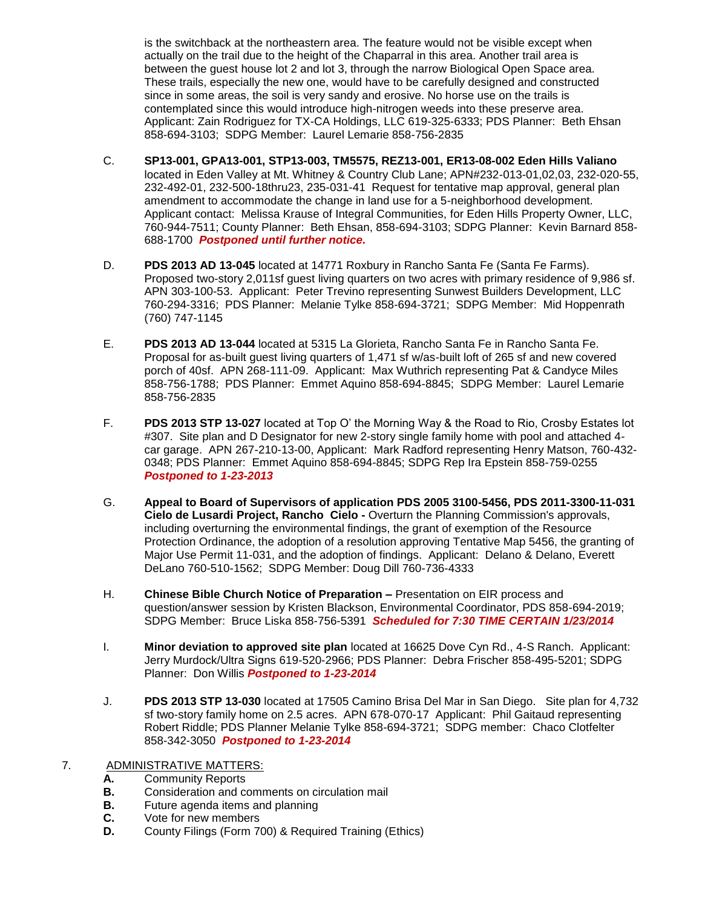is the switchback at the northeastern area. The feature would not be visible except when actually on the trail due to the height of the Chaparral in this area. Another trail area is between the guest house lot 2 and lot 3, through the narrow Biological Open Space area. These trails, especially the new one, would have to be carefully designed and constructed since in some areas, the soil is very sandy and erosive. No horse use on the trails is contemplated since this would introduce high-nitrogen weeds into these preserve area. Applicant: Zain Rodriguez for TX-CA Holdings, LLC 619-325-6333; PDS Planner: Beth Ehsan 858-694-3103; SDPG Member: Laurel Lemarie 858-756-2835

- C. **SP13-001, GPA13-001, STP13-003, TM5575, REZ13-001, ER13-08-002 Eden Hills Valiano**  located in Eden Valley at Mt. Whitney & Country Club Lane; APN#232-013-01,02,03, 232-020-55, 232-492-01, 232-500-18thru23, 235-031-41 Request for tentative map approval, general plan amendment to accommodate the change in land use for a 5-neighborhood development. Applicant contact: Melissa Krause of Integral Communities, for Eden Hills Property Owner, LLC, 760-944-7511; County Planner: Beth Ehsan, 858-694-3103; SDPG Planner: Kevin Barnard 858- 688-1700 *Postponed until further notice.*
- D. **PDS 2013 AD 13-045** located at 14771 Roxbury in Rancho Santa Fe (Santa Fe Farms). Proposed two-story 2,011sf guest living quarters on two acres with primary residence of 9,986 sf. APN 303-100-53. Applicant: Peter Trevino representing Sunwest Builders Development, LLC 760-294-3316; PDS Planner: Melanie Tylke 858-694-3721; SDPG Member: Mid Hoppenrath (760) 747-1145
- E. **PDS 2013 AD 13-044** located at 5315 La Glorieta, Rancho Santa Fe in Rancho Santa Fe. Proposal for as-built guest living quarters of 1,471 sf w/as-built loft of 265 sf and new covered porch of 40sf. APN 268-111-09. Applicant: Max Wuthrich representing Pat & Candyce Miles 858-756-1788; PDS Planner: Emmet Aquino 858-694-8845; SDPG Member: Laurel Lemarie 858-756-2835
- F. **PDS 2013 STP 13-027** located at Top O' the Morning Way & the Road to Rio, Crosby Estates lot #307. Site plan and D Designator for new 2-story single family home with pool and attached 4 car garage. APN 267-210-13-00, Applicant: Mark Radford representing Henry Matson, 760-432- 0348; PDS Planner: Emmet Aquino 858-694-8845; SDPG Rep Ira Epstein 858-759-0255 *Postponed to 1-23-2013*
- G. **Appeal to Board of Supervisors of application PDS 2005 3100-5456, PDS 2011-3300-11-031 Cielo de Lusardi Project, Rancho Cielo -** Overturn the Planning Commission's approvals, including overturning the environmental findings, the grant of exemption of the Resource Protection Ordinance, the adoption of a resolution approving Tentative Map 5456, the granting of Major Use Permit 11-031, and the adoption of findings. Applicant: Delano & Delano, Everett DeLano 760-510-1562; SDPG Member: Doug Dill 760-736-4333
- H. **Chinese Bible Church Notice of Preparation –** Presentation on EIR process and question/answer session by Kristen Blackson, Environmental Coordinator, PDS 858-694-2019; SDPG Member: Bruce Liska 858-756-5391 *Scheduled for 7:30 TIME CERTAIN 1/23/2014*
- I. **Minor deviation to approved site plan** located at 16625 Dove Cyn Rd., 4-S Ranch. Applicant: Jerry Murdock/Ultra Signs 619-520-2966; PDS Planner: Debra Frischer 858-495-5201; SDPG Planner: Don Willis *Postponed to 1-23-2014*
- J. **PDS 2013 STP 13-030** located at 17505 Camino Brisa Del Mar in San Diego. Site plan for 4,732 sf two-story family home on 2.5 acres. APN 678-070-17 Applicant: Phil Gaitaud representing Robert Riddle; PDS Planner Melanie Tylke 858-694-3721; SDPG member: Chaco Clotfelter 858-342-3050 *Postponed to 1-23-2014*
- 7. ADMINISTRATIVE MATTERS:
	- **A.** Community Reports
	- **B.** Consideration and comments on circulation mail
	- **B.** Future agenda items and planning
	- **C.** Vote for new members
	- **D.** County Filings (Form 700) & Required Training (Ethics)